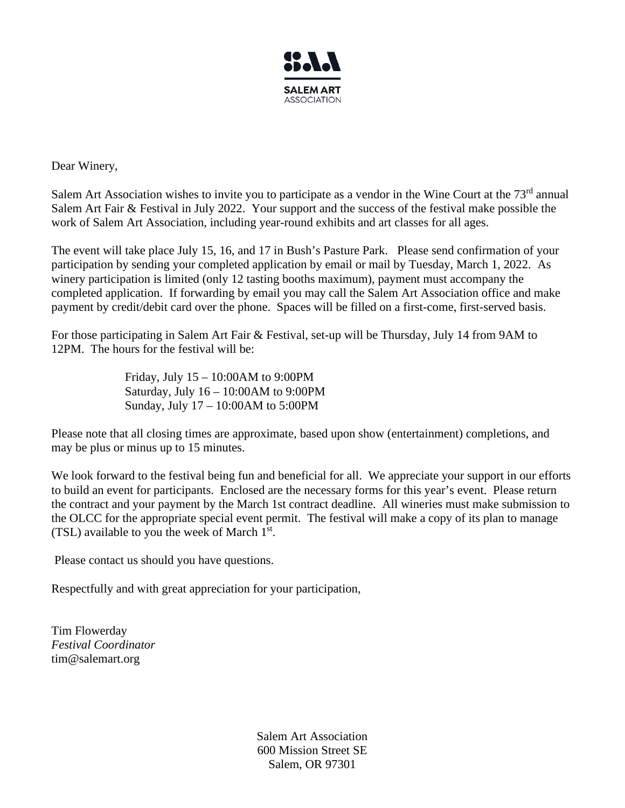

Dear Winery,

Salem Art Association wishes to invite you to participate as a vendor in the Wine Court at the 73<sup>rd</sup> annual Salem Art Fair & Festival in July 2022. Your support and the success of the festival make possible the work of Salem Art Association, including year-round exhibits and art classes for all ages.

The event will take place July 15, 16, and 17 in Bush's Pasture Park. Please send confirmation of your participation by sending your completed application by email or mail by Tuesday, March 1, 2022. As winery participation is limited (only 12 tasting booths maximum), payment must accompany the completed application. If forwarding by email you may call the Salem Art Association office and make payment by credit/debit card over the phone. Spaces will be filled on a first-come, first-served basis.

For those participating in Salem Art Fair & Festival, set-up will be Thursday, July 14 from 9AM to 12PM. The hours for the festival will be:

> Friday, July 15 – 10:00AM to 9:00PM Saturday, July 16 – 10:00AM to 9:00PM Sunday, July 17 – 10:00AM to 5:00PM

Please note that all closing times are approximate, based upon show (entertainment) completions, and may be plus or minus up to 15 minutes.

We look forward to the festival being fun and beneficial for all. We appreciate your support in our efforts to build an event for participants. Enclosed are the necessary forms for this year's event. Please return the contract and your payment by the March 1st contract deadline. All wineries must make submission to the OLCC for the appropriate special event permit. The festival will make a copy of its plan to manage (TSL) available to you the week of March  $1<sup>st</sup>$ .

Please contact us should you have questions.

Respectfully and with great appreciation for your participation,

Tim Flowerday *Festival Coordinator* tim@salemart.org

> Salem Art Association 600 Mission Street SE Salem, OR 97301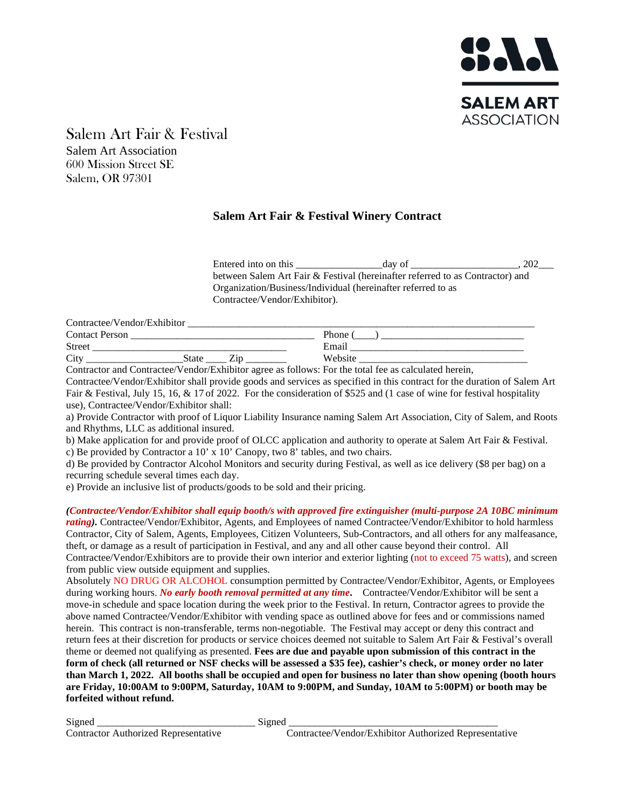

Salem Art Fair & Festival Salem Art Association 600 Mission Street SE Salem, OR 97301

## **Salem Art Fair & Festival Winery Contract**

Entered into on this \_\_\_\_\_\_\_\_\_\_\_\_\_\_\_\_\_day of \_\_\_\_\_\_\_\_\_\_\_\_\_\_\_\_\_\_\_\_\_, 202\_\_\_ between Salem Art Fair & Festival (hereinafter referred to as Contractor) and Organization/Business/Individual (hereinafter referred to as Contractee/Vendor/Exhibitor).

| Contractee/Vendor/Exhibitor                                |         |
|------------------------------------------------------------|---------|
| <b>Contact Person</b>                                      | Phone   |
| <b>Street</b>                                              | Email   |
| City<br>State                                              | Website |
| $\sim$<br>$\sim$ $\sim$<br>$\sim$<br>$-$<br>$-1$ $-1$ $-1$ | .       |

Contractor and Contractee/Vendor/Exhibitor agree as follows: For the total fee as calculated herein,

Contractee/Vendor/Exhibitor shall provide goods and services as specified in this contract for the duration of Salem Art Fair & Festival, July 15, 16, & 17 of 2022. For the consideration of \$525 and (1 case of wine for festival hospitality use), Contractee/Vendor/Exhibitor shall:

a) Provide Contractor with proof of Liquor Liability Insurance naming Salem Art Association, City of Salem, and Roots and Rhythms, LLC as additional insured.

b) Make application for and provide proof of OLCC application and authority to operate at Salem Art Fair & Festival. c) Be provided by Contractor a 10' x 10' Canopy, two 8' tables, and two chairs.

d) Be provided by Contractor Alcohol Monitors and security during Festival, as well as ice delivery (\$8 per bag) on a recurring schedule several times each day.

e) Provide an inclusive list of products/goods to be sold and their pricing.

*(Contractee/Vendor/Exhibitor shall equip booth/s with approved fire extinguisher (multi-purpose 2A 10BC minimum rating).* Contractee/Vendor/Exhibitor, Agents, and Employees of named Contractee/Vendor/Exhibitor to hold harmless Contractor, City of Salem, Agents, Employees, Citizen Volunteers, Sub-Contractors, and all others for any malfeasance, theft, or damage as a result of participation in Festival, and any and all other cause beyond their control. All Contractee/Vendor/Exhibitors are to provide their own interior and exterior lighting (not to exceed 75 watts), and screen from public view outside equipment and supplies.

Absolutely NO DRUG OR ALCOHOL consumption permitted by Contractee/Vendor/Exhibitor, Agents, or Employees during working hours. *No early booth removal permitted at any time***.** Contractee/Vendor/Exhibitor will be sent a move-in schedule and space location during the week prior to the Festival. In return, Contractor agrees to provide the above named Contractee/Vendor/Exhibitor with vending space as outlined above for fees and or commissions named herein. This contract is non-transferable, terms non-negotiable. The Festival may accept or deny this contract and return fees at their discretion for products or service choices deemed not suitable to Salem Art Fair & Festival's overall theme or deemed not qualifying as presented. **Fees are due and payable upon submission of this contract in the form of check (all returned or NSF checks will be assessed a \$35 fee), cashier's check, or money order no later than March 1, 2022. All booths shall be occupied and open for business no later than show opening (booth hours are Friday, 10:00AM to 9:00PM, Saturday, 10AM to 9:00PM, and Sunday, 10AM to 5:00PM) or booth may be forfeited without refund.**

Signed \_\_\_\_\_\_\_\_\_\_\_\_\_\_\_\_\_\_\_\_\_\_\_\_\_\_\_\_\_\_\_ Signed \_\_\_\_\_\_\_\_\_\_\_\_\_\_\_\_\_\_\_\_\_\_\_\_\_\_\_\_\_\_\_\_\_\_\_\_\_\_\_\_\_